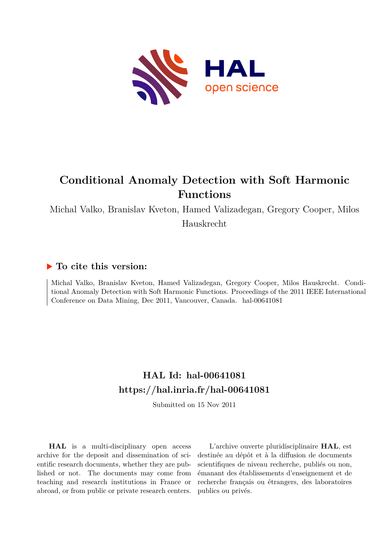

# **Conditional Anomaly Detection with Soft Harmonic Functions**

Michal Valko, Branislav Kveton, Hamed Valizadegan, Gregory Cooper, Milos Hauskrecht

# **To cite this version:**

Michal Valko, Branislav Kveton, Hamed Valizadegan, Gregory Cooper, Milos Hauskrecht. Conditional Anomaly Detection with Soft Harmonic Functions. Proceedings of the 2011 IEEE International Conference on Data Mining, Dec 2011, Vancouver, Canada. hal-00641081

# **HAL Id: hal-00641081 <https://hal.inria.fr/hal-00641081>**

Submitted on 15 Nov 2011

**HAL** is a multi-disciplinary open access archive for the deposit and dissemination of scientific research documents, whether they are published or not. The documents may come from teaching and research institutions in France or abroad, or from public or private research centers.

L'archive ouverte pluridisciplinaire **HAL**, est destinée au dépôt et à la diffusion de documents scientifiques de niveau recherche, publiés ou non, émanant des établissements d'enseignement et de recherche français ou étrangers, des laboratoires publics ou privés.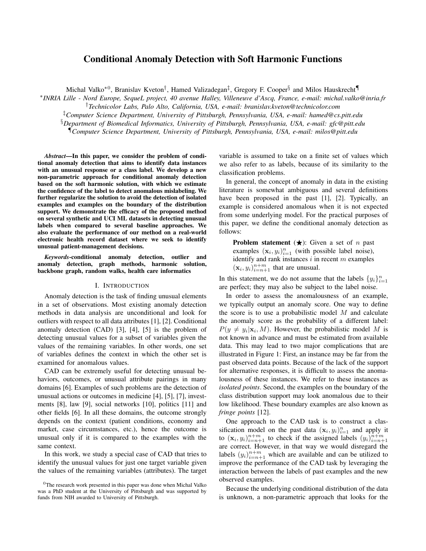# Conditional Anomaly Detection with Soft Harmonic Functions

Michal Valko<sup>∗0</sup>, Branislav Kveton<sup>†</sup>, Hamed Valizadegan<sup>‡</sup>, Gregory F. Cooper<sup>§</sup> and Milos Hauskrecht¶

∗ *INRIA Lille - Nord Europe, SequeL project, 40 avenue Halley, Villeneuve d'Ascq, France, e-mail: michal.valko@inria.fr*

†*Technicolor Labs, Palo Alto, California, USA, e-mail: branislav.kveton@technicolor.com*

‡*Computer Science Department, University of Pittsburgh, Pennsylvania, USA, e-mail: hamed@cs.pitt.edu*

§*Department of Biomedical Informatics, University of Pittsburgh, Pennsylvania, USA, e-mail: gfc@pitt.edu*

¶*Computer Science Department, University of Pittsburgh, Pennsylvania, USA, e-mail: milos@pitt.edu*

*Abstract*—In this paper, we consider the problem of conditional anomaly detection that aims to identify data instances with an unusual response or a class label. We develop a new non-parametric approach for conditional anomaly detection based on the soft harmonic solution, with which we estimate the confidence of the label to detect anomalous mislabeling. We further regularize the solution to avoid the detection of isolated examples and examples on the boundary of the distribution support. We demonstrate the efficacy of the proposed method on several synthetic and UCI ML datasets in detecting unusual labels when compared to several baseline approaches. We also evaluate the performance of our method on a real-world electronic health record dataset where we seek to identify unusual patient-management decisions.

*Keywords*-conditional anomaly detection, outlier and anomaly detection, graph methods, harmonic solution, backbone graph, random walks, health care informatics

## I. INTRODUCTION

Anomaly detection is the task of finding unusual elements in a set of observations. Most existing anomaly detection methods in data analysis are unconditional and look for outliers with respect to all data attributes [1], [2]. Conditional anomaly detection (CAD) [3], [4], [5] is the problem of detecting unusual values for a subset of variables given the values of the remaining variables. In other words, one set of variables defines the context in which the other set is examined for anomalous values.

CAD can be extremely useful for detecting unusual behaviors, outcomes, or unusual attribute pairings in many domains [6]. Examples of such problems are the detection of unusual actions or outcomes in medicine [4], [5], [7], investments [8], law [9], social networks [10], politics [11] and other fields [6]. In all these domains, the outcome strongly depends on the context (patient conditions, economy and market, case circumstances, etc.), hence the outcome is unusual only if it is compared to the examples with the same context.

In this work, we study a special case of CAD that tries to identify the unusual values for just one target variable given the values of the remaining variables (attributes). The target variable is assumed to take on a finite set of values which we also refer to as labels, because of its similarity to the classification problems.

In general, the concept of anomaly in data in the existing literature is somewhat ambiguous and several definitions have been proposed in the past [1], [2]. Typically, an example is considered anomalous when it is not expected from some underlying model. For the practical purposes of this paper, we define the conditional anomaly detection as follows:

**Problem statement**  $(\star)$ : Given a set of *n* past examples  $(\mathbf{x}_i, y_i)_{i=1}^n$  (with possible label noise), identify and rank instances  $i$  in recent  $m$  examples  $(\mathbf{x}_i, y_i)_{i=n+1}^{n+m}$  that are unusual.

In this statement, we do not assume that the labels  $\{y_i\}_{i=1}^n$ are perfect; they may also be subject to the label noise.

In order to assess the anomalousness of an example, we typically output an anomaly score. One way to define the score is to use a probabilistic model  $M$  and calculate the anomaly score as the probability of a different label:  $P(y \neq y_i | \mathbf{x}_i, M)$ . However, the probabilistic model M is not known in advance and must be estimated from available data. This may lead to two major complications that are illustrated in Figure 1: First, an instance may be far from the past observed data points. Because of the lack of the support for alternative responses, it is difficult to assess the anomalousness of these instances. We refer to these instances as *isolated points*. Second, the examples on the boundary of the class distribution support may look anomalous due to their low likelihood. These boundary examples are also known as *fringe points* [12].

One approach to the CAD task is to construct a classification model on the past data  $(\mathbf{x}_i, y_i)_{i=1}^n$  and apply it to  $(\mathbf{x}_i, y_i)_{i=n+1}^{n+m}$  to check if the assigned labels  $(y_i)_{i=n+1}^{\overline{n+m}}$ are correct. However, in that way we would disregard the labels  $(y_i)_{i=n+1}^{n+m}$  which are available and can be utilized to improve the performance of the CAD task by leveraging the interaction between the labels of past examples and the new observed examples.

Because the underlying conditional distribution of the data is unknown, a non-parametric approach that looks for the

 $<sup>0</sup>$ The research work presented in this paper was done when Michal Valko</sup> was a PhD student at the University of Pittsburgh and was supported by funds from NIH awarded to University of Pittsburgh.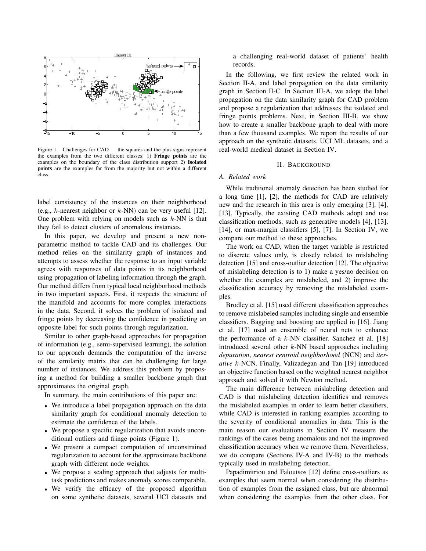

Figure 1. Challenges for CAD — the squares and the plus signs represent the examples from the two different classes: 1) Fringe points are the examples on the boundary of the class distribution support 2) Isolated points are the examples far from the majority but not within a different class.

label consistency of the instances on their neighborhood (e.g.,  $k$ -nearest neighbor or  $k$ -NN) can be very useful [12]. One problem with relying on models such as  $k$ -NN is that they fail to detect clusters of anomalous instances.

In this paper, we develop and present a new nonparametric method to tackle CAD and its challenges. Our method relies on the similarity graph of instances and attempts to assess whether the response to an input variable agrees with responses of data points in its neighborhood using propagation of labeling information through the graph. Our method differs from typical local neighborhood methods in two important aspects. First, it respects the structure of the manifold and accounts for more complex interactions in the data. Second, it solves the problem of isolated and fringe points by decreasing the confidence in predicting an opposite label for such points through regularization.

Similar to other graph-based approaches for propagation of information (e.g., semi-supervised learning), the solution to our approach demands the computation of the inverse of the similarity matrix that can be challenging for large number of instances. We address this problem by proposing a method for building a smaller backbone graph that approximates the original graph.

In summary, the main contributions of this paper are:

- We introduce a label propagation approach on the data similarity graph for conditional anomaly detection to estimate the confidence of the labels.
- We propose a specific regularization that avoids unconditional outliers and fringe points (Figure 1).
- We present a compact computation of unconstrained regularization to account for the approximate backbone graph with different node weights.
- We propose a scaling approach that adjusts for multitask predictions and makes anomaly scores comparable.
- We verify the efficacy of the proposed algorithm on some synthetic datasets, several UCI datasets and

a challenging real-world dataset of patients' health records.

In the following, we first review the related work in Section II-A, and label propagation on the data similarity graph in Section II-C. In Section III-A, we adopt the label propagation on the data similarity graph for CAD problem and propose a regularization that addresses the isolated and fringe points problems. Next, in Section III-B, we show how to create a smaller backbone graph to deal with more than a few thousand examples. We report the results of our approach on the synthetic datasets, UCI ML datasets, and a real-world medical dataset in Section IV.

#### II. BACKGROUND

# *A. Related work*

While traditional anomaly detection has been studied for a long time [1], [2], the methods for CAD are relatively new and the research in this area is only emerging [3], [4], [13]. Typically, the existing CAD methods adopt and use classification methods, such as generative models [4], [13], [14], or max-margin classifiers [5], [7]. In Section IV, we compare our method to these approaches.

The work on CAD, when the target variable is restricted to discrete values only, is closely related to mislabeling detection [15] and cross-outlier detection [12]. The objective of mislabeling detection is to 1) make a yes/no decision on whether the examples are mislabeled, and 2) improve the classification accuracy by removing the mislabeled examples.

Brodley et al. [15] used different classification approaches to remove mislabeled samples including single and ensemble classifiers. Bagging and boosting are applied in [16]. Jiang et al. [17] used an ensemble of neural nets to enhance the performance of a  $k$ -NN classifier. Sanchez et al. [18] introduced several other k-NN based approaches including *depuration*, *nearest centroid neighborhood* (NCN) and *iterative* k-NCN. Finally, Valizadegan and Tan [19] introduced an objective function based on the weighted nearest neighbor approach and solved it with Newton method.

The main difference between mislabeling detection and CAD is that mislabeling detection identifies and removes the mislabeled examples in order to learn better classifiers, while CAD is interested in ranking examples according to the severity of conditional anomalies in data. This is the main reason our evaluations in Section IV measure the rankings of the cases being anomalous and not the improved classification accuracy when we remove them. Nevertheless, we do compare (Sections IV-A and IV-B) to the methods typically used in mislabeling detection.

Papadimitriou and Faloutsos [12] define cross-outliers as examples that seem normal when considering the distribution of examples from the assigned class, but are abnormal when considering the examples from the other class. For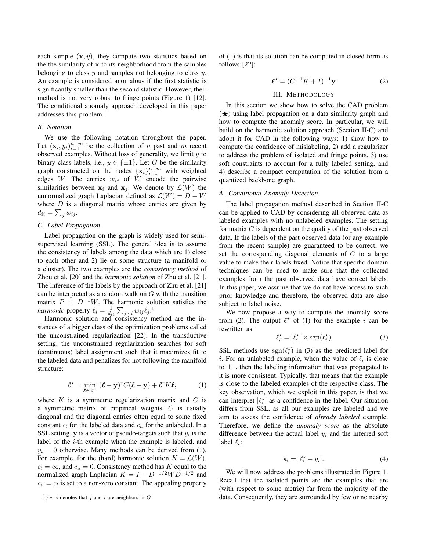each sample  $(x, y)$ , they compute two statistics based on the the similarity of x to its neighborhood from the samples belonging to class  $y$  and samples not belonging to class  $y$ . An example is considered anomalous if the first statistic is significantly smaller than the second statistic. However, their method is not very robust to fringe points (Figure 1) [12]. The conditional anomaly approach developed in this paper addresses this problem.

# *B. Notation*

We use the following notation throughout the paper. Let  $(\mathbf{x}_i, y_i)_{i=1}^{n+m}$  be the collection of n past and m recent observed examples. Without loss of generality, we limit  $y$  to binary class labels, i.e.,  $y \in \{\pm 1\}$ . Let G be the similarity graph constructed on the nodes  $\{x_i\}_{i=1}^{n+m}$  with weighted edges W. The entries  $w_{ij}$  of W encode the pairwise similarities between  $x_i$  and  $x_j$ . We denote by  $\mathcal{L}(W)$  the unnormalized graph Laplacian defined as  $\mathcal{L}(W) = D - W$ where  $D$  is a diagonal matrix whose entries are given by  $d_{ii} = \sum_j w_{ij}.$ 

# *C. Label Propagation*

Label propagation on the graph is widely used for semisupervised learning (SSL). The general idea is to assume the consistency of labels among the data which are 1) close to each other and 2) lie on some structure (a manifold or a cluster). The two examples are the *consistency method* of Zhou et al. [20] and the *harmonic solution* of Zhu et al. [21]. The inference of the labels by the approach of Zhu et al. [21] can be interpreted as a random walk on  $G$  with the transition matrix  $P = D^{-1}W$ . The harmonic solution satisfies the *harmonic* property  $\ell_i = \frac{1}{d_{ii}} \sum_{j \sim i} w_{ij} \ell_j$ .<sup>1</sup>

Harmonic solution and consistency method are the instances of a bigger class of the optimization problems called the unconstrained regularization [22]. In the transductive setting, the unconstrained regularization searches for soft (continuous) label assignment such that it maximizes fit to the labeled data and penalizes for not following the manifold structure:

$$
\boldsymbol{\ell}^* = \min_{\boldsymbol{\ell} \in \mathbb{R}^n} (\boldsymbol{\ell} - \mathbf{y})^{\mathsf{T}} C (\boldsymbol{\ell} - \mathbf{y}) + \boldsymbol{\ell}^{\mathsf{T}} K \boldsymbol{\ell}, \tag{1}
$$

where  $K$  is a symmetric regularization matrix and  $C$  is a symmetric matrix of empirical weights. C is usually diagonal and the diagonal entries often equal to some fixed constant  $c_l$  for the labeled data and  $c_u$  for the unlabeled. In a SSL setting,  $y$  is a vector of pseudo-targets such that  $y_i$  is the label of the i-th example when the example is labeled, and  $y_i = 0$  otherwise. Many methods can be derived from (1). For example, for the (hard) harmonic solution  $K = \mathcal{L}(W)$ ,  $c_l = \infty$ , and  $c_u = 0$ . Consistency method has K equal to the normalized graph Laplacian  $K = I - D^{-1/2}WD^{-1/2}$  and  $c_u = c_l$  is set to a non-zero constant. The appealing property

of (1) is that its solution can be computed in closed form as follows [22]:

$$
\ell^* = (C^{-1}K + I)^{-1}y \tag{2}
$$

#### III. METHODOLOGY

In this section we show how to solve the CAD problem  $(\star)$  using label propagation on a data similarity graph and how to compute the anomaly score. In particular, we will build on the harmonic solution approach (Section II-C) and adopt it for CAD in the following ways: 1) show how to compute the confidence of mislabeling, 2) add a regularizer to address the problem of isolated and fringe points, 3) use soft constraints to account for a fully labeled setting, and 4) describe a compact computation of the solution from a quantized backbone graph.

#### *A. Conditional Anomaly Detection*

The label propagation method described in Section II-C can be applied to CAD by considering all observed data as labeled examples with no unlabeled examples. The setting for matrix  $C$  is dependent on the quality of the past observed data. If the labels of the past observed data (or any example from the recent sample) are guaranteed to be correct, we set the corresponding diagonal elements of  $C$  to a large value to make their labels fixed. Notice that specific domain techniques can be used to make sure that the collected examples from the past observed data have correct labels. In this paper, we assume that we do not have access to such prior knowledge and therefore, the observed data are also subject to label noise.

We now propose a way to compute the anomaly score from (2). The output  $\ell^*$  of (1) for the example i can be rewritten as:

$$
\ell_i^* = |\ell_i^*| \times \text{sgn}(\ell_i^*) \tag{3}
$$

SSL methods use  $sgn(\ell_i^*)$  in (3) as the predicted label for i. For an unlabeled example, when the value of  $\ell_i$  is close to  $\pm 1$ , then the labeling information that was propagated to it is more consistent. Typically, that means that the example is close to the labeled examples of the respective class. The key observation, which we exploit in this paper, is that we can interpret  $|\ell_i^*|$  as a confidence in the label. Our situation differs from SSL, as all our examples are labeled and we aim to assess the confidence of *already labeled* example. Therefore, we define the *anomaly score* as the absolute difference between the actual label  $y_i$  and the inferred soft label  $\ell_i$ :

$$
s_i = |\ell_i^* - y_i|.\tag{4}
$$

We will now address the problems illustrated in Figure 1. Recall that the isolated points are the examples that are (with respect to some metric) far from the majority of the data. Consequently, they are surrounded by few or no nearby

 $j \sim i$  denotes that j and i are neighbors in G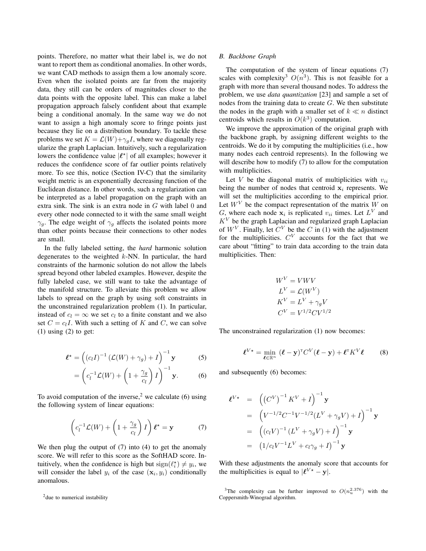points. Therefore, no matter what their label is, we do not want to report them as conditional anomalies. In other words, we want CAD methods to assign them a low anomaly score. Even when the isolated points are far from the majority data, they still can be orders of magnitudes closer to the data points with the opposite label. This can make a label propagation approach falsely confident about that example being a conditional anomaly. In the same way we do not want to assign a high anomaly score to fringe points just because they lie on a distribution boundary. To tackle these problems we set  $K = \mathcal{L}(W) + \gamma_a I$ , where we diagonally regularize the graph Laplacian. Intuitively, such a regularization lowers the confidence value  $|\ell^*|$  of all examples; however it reduces the confidence score of far outlier points relatively more. To see this, notice (Section IV-C) that the similarity weight metric is an exponentially decreasing function of the Euclidean distance. In other words, such a regularization can be interpreted as a label propagation on the graph with an extra sink. The sink is an extra node in G with label 0 and every other node connected to it with the same small weight  $\gamma_g$ . The edge weight of  $\gamma_g$  affects the isolated points more than other points because their connections to other nodes are small.

In the fully labeled setting, the *hard* harmonic solution degenerates to the weighted  $k$ -NN. In particular, the hard constraints of the harmonic solution do not allow the labels spread beyond other labeled examples. However, despite the fully labeled case, we still want to take the advantage of the manifold structure. To alleviate this problem we allow labels to spread on the graph by using soft constraints in the unconstrained regularization problem (1). In particular, instead of  $c_l = \infty$  we set  $c_l$  to a finite constant and we also set  $C = c_l I$ . With such a setting of K and C, we can solve  $(1)$  using  $(2)$  to get:

$$
\ell^* = \left( \left( c_l I \right)^{-1} \left( \mathcal{L}(W) + \gamma_g \right) + I \right)^{-1} \mathbf{y} \tag{5}
$$

$$
= \left( c_l^{-1} \mathcal{L}(W) + \left( 1 + \frac{\gamma_g}{c_l} \right) I \right)^{-1} \mathbf{y}.
$$
 (6)

To avoid computation of the inverse,<sup>2</sup> we calculate (6) using the following system of linear equations:

$$
\left(c_l^{-1}\mathcal{L}(W) + \left(1 + \frac{\gamma_g}{c_l}\right)I\right)\ell^* = \mathbf{y} \tag{7}
$$

We then plug the output of  $(7)$  into  $(4)$  to get the anomaly score. We will refer to this score as the SoftHAD score. Intuitively, when the confidence is high but  $sign(\ell_i^*) \neq y_i$ , we will consider the label  $y_i$  of the case  $(\mathbf{x}_i, y_i)$  conditionally anomalous.

# *B. Backbone Graph*

The computation of the system of linear equations (7) scales with complexity<sup>3</sup>  $O(n^3)$ . This is not feasible for a graph with more than several thousand nodes. To address the problem, we use *data quantization* [23] and sample a set of nodes from the training data to create  $G$ . We then substitute the nodes in the graph with a smaller set of  $k \ll n$  distinct centroids which results in  $O(k^3)$  computation.

We improve the approximation of the original graph with the backbone graph, by assigning different weights to the centroids. We do it by computing the multiplicities (i.e., how many nodes each centroid represents). In the following we will describe how to modify (7) to allow for the computation with multiplicities.

Let V be the diagonal matrix of multiplicities with  $v_{ii}$ being the number of nodes that centroid  $x_i$  represents. We will set the multiplicities according to the empirical prior. Let  $W<sup>V</sup>$  be the compact representation of the matrix W on G, where each node  $x_i$  is replicated  $v_{ii}$  times. Let  $L^V$  and  $K^V$  be the graph Laplacian and regularized graph Laplacian of  $W^V$ . Finally, let  $C^V$  be the C in (1) with the adjustment for the multiplicities.  $C<sup>V</sup>$  accounts for the fact that we care about "fitting" to train data according to the train data multiplicities. Then:

$$
W^{V} = VWV
$$
  
\n
$$
L^{V} = \mathcal{L}(W^{V})
$$
  
\n
$$
K^{V} = L^{V} + \gamma_{g}V
$$
  
\n
$$
C^{V} = V^{1/2}CV^{1/2}
$$

The unconstrained regularization (1) now becomes:

$$
\boldsymbol{\ell}^{V\star} = \min_{\boldsymbol{\ell} \in \mathbb{R}^n} \ (\boldsymbol{\ell} - \mathbf{y})^{\mathsf{T}} C^V (\boldsymbol{\ell} - \mathbf{y}) + \boldsymbol{\ell}^{\mathsf{T}} K^V \boldsymbol{\ell} \tag{8}
$$

and subsequently (6) becomes:

$$
\ell^{V*} = ((C^V)^{-1} K^V + I)^{-1} \mathbf{y}
$$
  
=  $(V^{-1/2} C^{-1} V^{-1/2} (L^V + \gamma_g V) + I)^{-1} \mathbf{y}$   
=  $((c_l V)^{-1} (L^V + \gamma_g V) + I)^{-1} \mathbf{y}$   
=  $(1/c_l V^{-1} L^V + c_l \gamma_g + I)^{-1} \mathbf{y}$ 

With these adjustments the anomaly score that accounts for the multiplicities is equal to  $|\ell^{V*} - y|$ .

<sup>&</sup>lt;sup>2</sup> due to numerical instability

<sup>&</sup>lt;sup>3</sup>The complexity can be further improved to  $O(n_u^{2.376})$  with the Coppersmith-Winograd algorithm.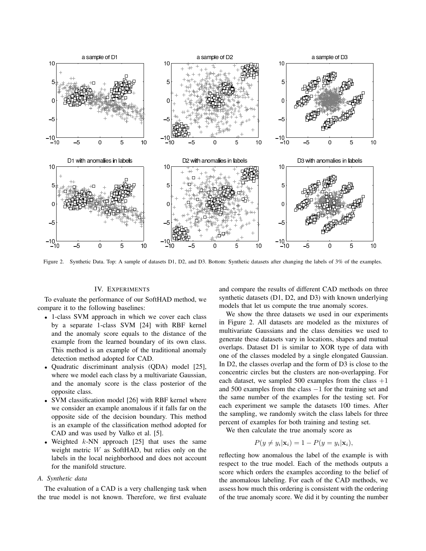

Figure 2. Synthetic Data. Top: A sample of datasets D1, D2, and D3. Bottom: Synthetic datasets after changing the labels of 3% of the examples.

# IV. EXPERIMENTS

To evaluate the performance of our SoftHAD method, we compare it to the following baselines:

- 1-class SVM approach in which we cover each class by a separate 1-class SVM [24] with RBF kernel and the anomaly score equals to the distance of the example from the learned boundary of its own class. This method is an example of the traditional anomaly detection method adopted for CAD.
- Quadratic discriminant analysis (QDA) model [25], where we model each class by a multivariate Gaussian, and the anomaly score is the class posterior of the opposite class.
- SVM classification model [26] with RBF kernel where we consider an example anomalous if it falls far on the opposite side of the decision boundary. This method is an example of the classification method adopted for CAD and was used by Valko et al. [5].
- Weighted  $k$ -NN approach [25] that uses the same weight metric W as SoftHAD, but relies only on the labels in the local neighborhood and does not account for the manifold structure.

# *A. Synthetic data*

The evaluation of a CAD is a very challenging task when the true model is not known. Therefore, we first evaluate and compare the results of different CAD methods on three synthetic datasets (D1, D2, and D3) with known underlying models that let us compute the true anomaly scores.

We show the three datasets we used in our experiments in Figure 2. All datasets are modeled as the mixtures of multivariate Gaussians and the class densities we used to generate these datasets vary in locations, shapes and mutual overlaps. Dataset D1 is similar to XOR type of data with one of the classes modeled by a single elongated Gaussian. In D2, the classes overlap and the form of D3 is close to the concentric circles but the clusters are non-overlapping. For each dataset, we sampled 500 examples from the class  $+1$ and 500 examples from the class −1 for the training set and the same number of the examples for the testing set. For each experiment we sample the datasets 100 times. After the sampling, we randomly switch the class labels for three percent of examples for both training and testing set.

We then calculate the true anomaly score as

$$
P(y \neq y_i | \mathbf{x}_i) = 1 - P(y = y_i | \mathbf{x}_i),
$$

reflecting how anomalous the label of the example is with respect to the true model. Each of the methods outputs a score which orders the examples according to the belief of the anomalous labeling. For each of the CAD methods, we assess how much this ordering is consistent with the ordering of the true anomaly score. We did it by counting the number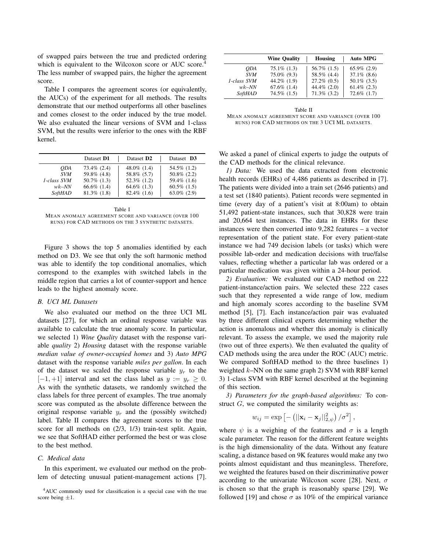of swapped pairs between the true and predicted ordering which is equivalent to the Wilcoxon score or AUC score.<sup>4</sup> The less number of swapped pairs, the higher the agreement score.

Table I compares the agreement scores (or equivalently, the AUCs) of the experiment for all methods. The results demonstrate that our method outperforms all other baselines and comes closest to the order induced by the true model. We also evaluated the linear versions of SVM and 1-class SVM, but the results were inferior to the ones with the RBF kernel.

|             | Dataset D1       | Dataset D <sub>2</sub> | Dataset D3       |
|-------------|------------------|------------------------|------------------|
| <i>ODA</i>  | 73.4% (2.4)      | 48.0\% $(1.4)$         | 54.5% (1.2)      |
| <b>SVM</b>  | 59.8% (4.8)      | 58.8% (5.7)            | $50.8\%$ (2.2)   |
| 1-class SVM | $50.7\%$ $(1.3)$ | $52.3\%$ $(1.2)$       | 59.4% (1.6)      |
| $wk$ –NN    | $66.6\%$ (1.4)   | $64.6\%$ $(1.3)$       | $60.5\%$ $(1.5)$ |
| SoftHAD     | $81.3\%$ (1.8)   | $82.4\%$ (1.6)         | $63.0\%$ $(2.9)$ |

Table I MEAN ANOMALY AGREEMENT SCORE AND VARIANCE (OVER 100 RUNS) FOR CAD METHODS ON THE 3 SYNTHETIC DATASETS.

Figure 3 shows the top 5 anomalies identified by each method on D3. We see that only the soft harmonic method was able to identify the top conditional anomalies, which correspond to the examples with switched labels in the middle region that carries a lot of counter-support and hence leads to the highest anomaly score.

### *B. UCI ML Datasets*

We also evaluated our method on the three UCI ML datasets [27], for which an ordinal response variable was available to calculate the true anomaly score. In particular, we selected 1) *Wine Quality* dataset with the response variable *quality* 2) *Housing* dataset with the response variable *median value of owner-occupied homes* and 3) *Auto MPG* dataset with the response variable *miles per gallon*. In each of the dataset we scaled the response variable  $y_r$  to the  $[-1, +1]$  interval and set the class label as  $y := y_r \geq 0$ . As with the synthetic datasets, we randomly switched the class labels for three percent of examples. The true anomaly score was computed as the absolute difference between the original response variable  $y_r$  and the (possibly switched) label. Table II compares the agreement scores to the true score for all methods on (2/3, 1/3) train-test split. Again, we see that SoftHAD either performed the best or was close to the best method.

# *C. Medical data*

In this experiment, we evaluated our method on the problem of detecting unusual patient-management actions [7].

|                | <b>Wine Quality</b> | Housing          | <b>Auto MPG</b>  |
|----------------|---------------------|------------------|------------------|
| ODA            | $75.1\%$ (1.3)      | $56.7\%$ $(1.5)$ | $65.9\%$ (2.9)   |
| <b>SVM</b>     | 75.0% (9.3)         | 58.5% (4.4)      | $37.1\%$ (8.6)   |
| 1-class SVM    | 44.2% (1.9)         | $27.2\%$ (0.5)   | $50.1\%$ (3.5)   |
| $wk$ -NN       | $67.6\%$ $(1.4)$    | 44.4% (2.0)      | $61.4\%$ (2.3)   |
| <i>SoftHAD</i> | $74.5\%$ $(1.5)$    | $71.3\%$ (3.2)   | $72.6\%$ $(1.7)$ |

Table II MEAN ANOMALY AGREEMENT SCORE AND VARIANCE (OVER 100 RUNS) FOR CAD METHODS ON THE 3 UCI ML DATASETS.

We asked a panel of clinical experts to judge the outputs of the CAD methods for the clinical relevance.

*1) Data:* We used the data extracted from electronic health records (EHRs) of 4,486 patients as described in [7]. The patients were divided into a train set (2646 patients) and a test set (1840 patients). Patient records were segmented in time (every day of a patient's visit at 8:00am) to obtain 51,492 patient-state instances, such that 30,828 were train and 20,664 test instances. The data in EHRs for these instances were then converted into 9,282 features – a vector representation of the patient state. For every patient-state instance we had 749 decision labels (or tasks) which were possible lab-order and medication decisions with true/false values, reflecting whether a particular lab was ordered or a particular medication was given within a 24-hour period.

*2) Evaluation:* We evaluated our CAD method on 222 patient-instance/action pairs. We selected these 222 cases such that they represented a wide range of low, medium and high anomaly scores according to the baseline SVM method [5], [7]. Each instance/action pair was evaluated by three different clinical experts determining whether the action is anomalous and whether this anomaly is clinically relevant. To assess the example, we used the majority rule (two out of three experts). We then evaluated the quality of CAD methods using the area under the ROC (AUC) metric. We compared SoftHAD method to the three baselines 1) weighted  $k-NN$  on the same graph 2) SVM with RBF kernel 3) 1-class SVM with RBF kernel described at the beginning of this section.

*3) Parameters for the graph-based algorithms:* To construct  $G$ , we computed the similarity weights as:

$$
w_{ij} = \exp\left[-\left(||\mathbf{x}_i - \mathbf{x}_j||_{2,\psi}^2\right) / \sigma^2\right]
$$

,

where  $\psi$  is a weighing of the features and  $\sigma$  is a length scale parameter. The reason for the different feature weights is the high dimensionality of the data. Without any feature scaling, a distance based on 9K features would make any two points almost equidistant and thus meaningless. Therefore, we weighted the features based on their discriminative power according to the univariate Wilcoxon score [28]. Next,  $\sigma$ is chosen so that the graph is reasonably sparse [29]. We followed [19] and chose  $\sigma$  as 10% of the empirical variance

<sup>4</sup>AUC commonly used for classification is a special case with the true score being  $\pm 1$ .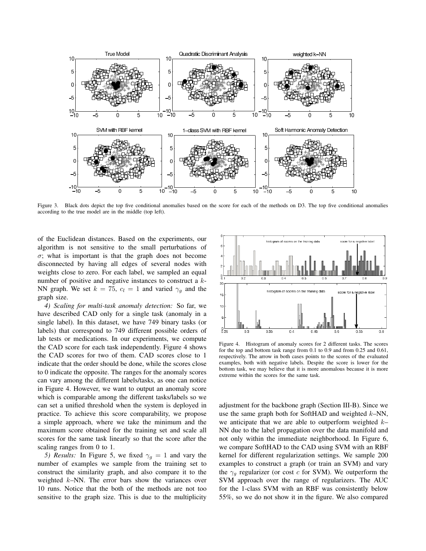

Figure 3. Black dots depict the top five conditional anomalies based on the score for each of the methods on D3. The top five conditional anomalies according to the true model are in the middle (top left).

of the Euclidean distances. Based on the experiments, our algorithm is not sensitive to the small perturbations of  $\sigma$ ; what is important is that the graph does not become disconnected by having all edges of several nodes with weights close to zero. For each label, we sampled an equal number of positive and negative instances to construct a k-NN graph. We set  $k = 75$ ,  $c_l = 1$  and varied  $\gamma_q$  and the graph size.

*4) Scaling for multi-task anomaly detection:* So far, we have described CAD only for a single task (anomaly in a single label). In this dataset, we have 749 binary tasks (or labels) that correspond to 749 different possible orders of lab tests or medications. In our experiments, we compute the CAD score for each task independently. Figure 4 shows the CAD scores for two of them. CAD scores close to 1 indicate that the order should be done, while the scores close to 0 indicate the opposite. The ranges for the anomaly scores can vary among the different labels/tasks, as one can notice in Figure 4. However, we want to output an anomaly score which is comparable among the different tasks/labels so we can set a unified threshold when the system is deployed in practice. To achieve this score comparability, we propose a simple approach, where we take the minimum and the maximum score obtained for the training set and scale all scores for the same task linearly so that the score after the scaling ranges from 0 to 1.

*5) Results:* In Figure 5, we fixed  $\gamma_g = 1$  and vary the number of examples we sample from the training set to construct the similarity graph, and also compare it to the weighted k–NN. The error bars show the variances over 10 runs. Notice that the both of the methods are not too sensitive to the graph size. This is due to the multiplicity



Figure 4. Histogram of anomaly scores for 2 different tasks. The scores for the top and bottom task range from 0.1 to 0.9 and from 0.25 and 0.61, respectively. The arrow in both cases points to the scores of the evaluated examples, both with negative labels. Despite the score is lower for the bottom task, we may believe that it is more anomalous because it is more extreme within the scores for the same task.

adjustment for the backbone graph (Section III-B). Since we use the same graph both for SoftHAD and weighted  $k$ –NN, we anticipate that we are able to outperform weighted  $k-$ NN due to the label propagation over the data manifold and not only within the immediate neighborhood. In Figure 6, we compare SoftHAD to the CAD using SVM with an RBF kernel for different regularization settings. We sample 200 examples to construct a graph (or train an SVM) and vary the  $\gamma_q$  regularizer (or cost c for SVM). We outperform the SVM approach over the range of regularizers. The AUC for the 1-class SVM with an RBF was consistently below 55%, so we do not show it in the figure. We also compared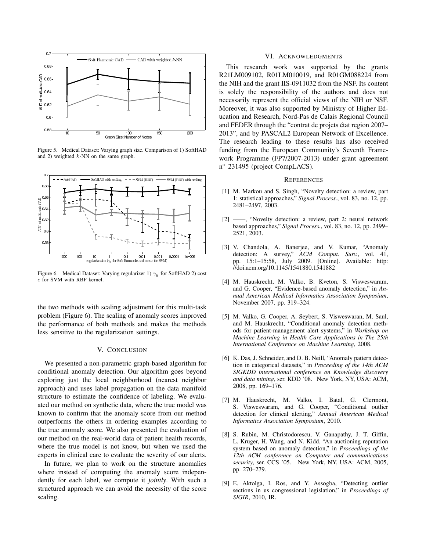

Figure 5. Medical Dataset: Varying graph size. Comparison of 1) SoftHAD and 2) weighted  $k$ -NN on the same graph.



Figure 6. Medical Dataset: Varying regularizer 1)  $\gamma_g$  for SoftHAD 2) cost c for SVM with RBF kernel.

the two methods with scaling adjustment for this multi-task problem (Figure 6). The scaling of anomaly scores improved the performance of both methods and makes the methods less sensitive to the regularization settings.

# V. CONCLUSION

We presented a non-parametric graph-based algorithm for conditional anomaly detection. Our algorithm goes beyond exploring just the local neighborhood (nearest neighbor approach) and uses label propagation on the data manifold structure to estimate the confidence of labeling. We evaluated our method on synthetic data, where the true model was known to confirm that the anomaly score from our method outperforms the others in ordering examples according to the true anomaly score. We also presented the evaluation of our method on the real-world data of patient health records, where the true model is not know, but when we used the experts in clinical care to evaluate the severity of our alerts.

In future, we plan to work on the structure anomalies where instead of computing the anomaly score independently for each label, we compute it *jointly*. With such a structured approach we can avoid the necessity of the score scaling.

# VI. ACKNOWLEDGMENTS

This research work was supported by the grants R21LM009102, R01LM010019, and R01GM088224 from the NIH and the grant IIS-0911032 from the NSF. Its content is solely the responsibility of the authors and does not necessarily represent the official views of the NIH or NSF. Moreover, it was also supported by Ministry of Higher Education and Research, Nord-Pas de Calais Regional Council and FEDER through the "contrat de projets état region 2007– 2013", and by PASCAL2 European Network of Excellence. The research leading to these results has also received funding from the European Community's Seventh Framework Programme (FP7/2007-2013) under grant agreement n<sup>o</sup> 231495 (project CompLACS).

# **REFERENCES**

- [1] M. Markou and S. Singh, "Novelty detection: a review, part 1: statistical approaches," *Signal Process.*, vol. 83, no. 12, pp. 2481–2497, 2003.
- [2] ——, "Novelty detection: a review, part 2: neural network based approaches," *Signal Process.*, vol. 83, no. 12, pp. 2499– 2521, 2003.
- [3] V. Chandola, A. Banerjee, and V. Kumar, "Anomaly detection: A survey," *ACM Comput. Surv.*, vol. 41, pp. 15:1–15:58, July 2009. [Online]. Available: http: //doi.acm.org/10.1145/1541880.1541882
- [4] M. Hauskrecht, M. Valko, B. Kveton, S. Visweswaram, and G. Cooper, "Evidence-based anomaly detection," in *Annual American Medical Informatics Association Symposium*, November 2007, pp. 319–324.
- [5] M. Valko, G. Cooper, A. Seybert, S. Visweswaran, M. Saul, and M. Hauskrecht, "Conditional anomaly detection methods for patient-management alert systems," in *Workshop on Machine Learning in Health Care Applications in The 25th International Conference on Machine Learning*, 2008.
- [6] K. Das, J. Schneider, and D. B. Neill, "Anomaly pattern detection in categorical datasets," in *Proceeding of the 14th ACM SIGKDD international conference on Knowledge discovery and data mining*, ser. KDD '08. New York, NY, USA: ACM, 2008, pp. 169–176.
- [7] M. Hauskrecht, M. Valko, I. Batal, G. Clermont, S. Visweswaram, and G. Cooper, "Conditional outlier detection for clinical alerting," *Annual American Medical Informatics Association Symposium*, 2010.
- [8] S. Rubin, M. Christodorescu, V. Ganapathy, J. T. Giffin, L. Kruger, H. Wang, and N. Kidd, "An auctioning reputation system based on anomaly detection," in *Proceedings of the 12th ACM conference on Computer and communications security*, ser. CCS '05. New York, NY, USA: ACM, 2005, pp. 270–279.
- [9] E. Aktolga, I. Ros, and Y. Assogba, "Detecting outlier sections in us congressional legislation," in *Proceedings of SIGIR*, 2010, IR.